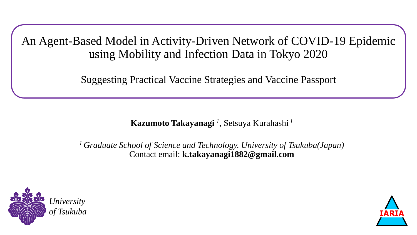An Agent-Based Model in Activity-Driven Network of COVID-19 Epidemic using Mobility and Infection Data in Tokyo 2020

Suggesting Practical Vaccine Strategies and Vaccine Passport

**Kazumoto Takayanagi** *<sup>1</sup>* , Setsuya Kurahashi *<sup>1</sup>*

*<sup>1</sup> Graduate School of Science and Technology. University of Tsukuba(Japan)* Contact email: **k.takayanagi1882@gmail.com**



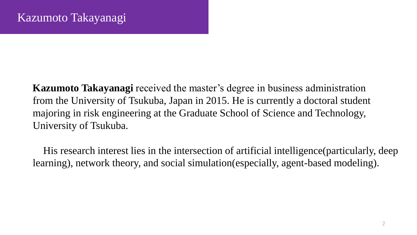**Kazumoto Takayanagi** received the master's degree in business administration from the University of Tsukuba, Japan in 2015. He is currently a doctoral student majoring in risk engineering at the Graduate School of Science and Technology, University of Tsukuba.

His research interest lies in the intersection of artificial intelligence(particularly, deep learning), network theory, and social simulation(especially, agent-based modeling).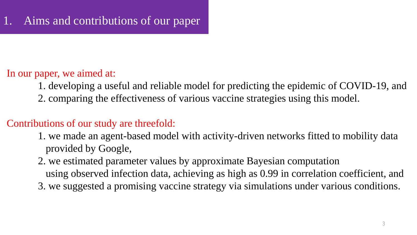### In our paper, we aimed at:

- 1. developing a useful and reliable model for predicting the epidemic of COVID-19, and
- 2. comparing the effectiveness of various vaccine strategies using this model.

### Contributions of our study are threefold:

- 1. we made an agent-based model with activity-driven networks fitted to mobility data provided by Google,
- 2. we estimated parameter values by approximate Bayesian computation
	- using observed infection data, achieving as high as 0.99 in correlation coefficient, and
- 3. we suggested a promising vaccine strategy via simulations under various conditions.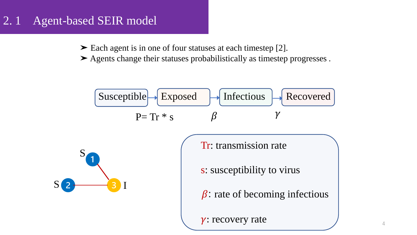# 2. 1 Agent-based SEIR model

➤ Each agent is in one of four statuses at each timestep [2].

➤ Agents change their statuses probabilistically as timestep progresses .

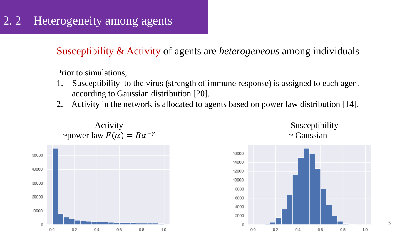# 2.2 Heterogeneity among agents

Susceptibility & Activity of agents are *heterogeneous* among individuals

Prior to simulations,

- 1. Susceptibility to the virus (strength of immune response) is assigned to each agent according to Gaussian distribution [20].
- 2. Activity in the network is allocated to agents based on power law distribution [14].







5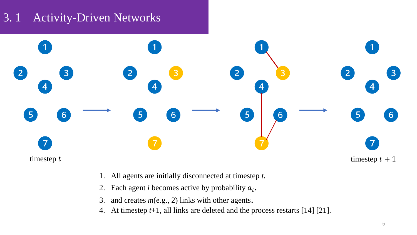# 3. 1 Activity-Driven Networks



- 1. All agents are initially disconnected at timestep *t.*
- 2. Each agent *i* becomes active by probability  $a_i$ .
- 3. and creates *m*(e.g., 2) links with other agents.
- 4. At timestep *t*+1, all links are deleted and the process restarts [14] [21].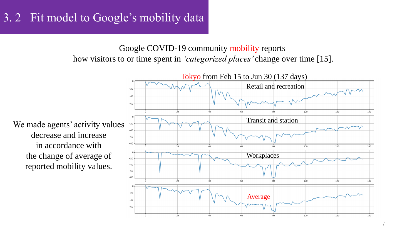### 3. 2 Fit model to Google's mobility data

#### Google COVID-19 community mobility reports how visitors to or time spent in *'categorized places'* change over time [15].

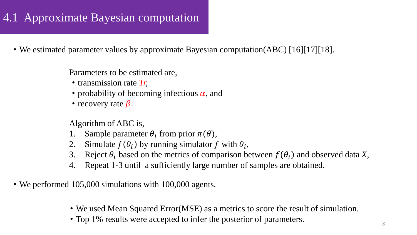# 4.1 Approximate Bayesian computation

• We estimated parameter values by approximate Bayesian computation(ABC) [16][17][18].

Parameters to be estimated are,

- ・transmission rate *Tr,*
- probability of becoming infectious  $\alpha$ , and
- recovery rate  $\beta$ .

Algorithm of ABC is,

- 1. Sample parameter  $\theta_i$  from prior  $\pi(\theta)$ ,
- 2. Simulate  $f(\theta_i)$  by running simulator f with  $\theta_i$ ,
- 3. Reject  $\theta_i$  based on the metrics of comparison between  $f(\theta_i)$  and observed data *X*,
- 4. Repeat 1-3 until a sufficiently large number of samples are obtained.
- We performed 105,000 simulations with 100,000 agents.
	- ・We used Mean Squared Error(MSE) as a metrics to score the result of simulation.
	- Top 1% results were accepted to infer the posterior of parameters.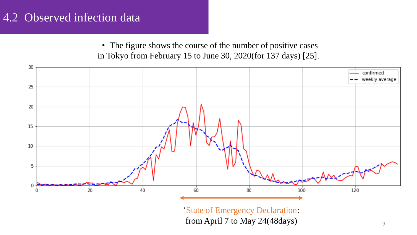### 4.2 Observed infection data

• The figure shows the course of the number of positive cases in Tokyo from February 15 to June 30, 2020(for 137 days) [25].

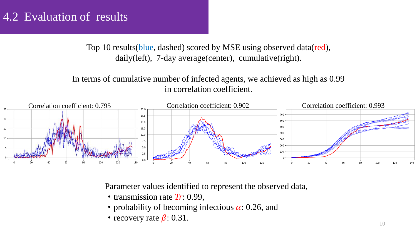### 4.2 Evaluation of results

Top 10 results(blue, dashed) scored by MSE using observed data(red), daily(left), 7-day average(center), cumulative(right).

In terms of cumulative number of infected agents, we achieved as high as 0.99 in correlation coefficient.



Parameter values identified to represent the observed data,

- transmission rate *Tr*: 0.99,
- probability of becoming infectious  $\alpha$ : 0.26, and
- recovery rate  $\beta$ : 0.31.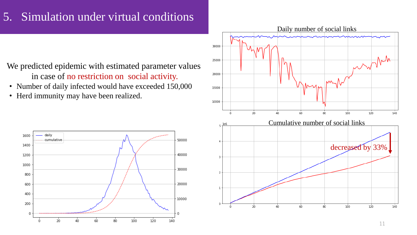### 5. Simulation under virtual conditions

We predicted epidemic with estimated parameter values in case of no restriction on social activity.

- Number of daily infected would have exceeded 150,000
- ・ Herd immunity may have been realized.



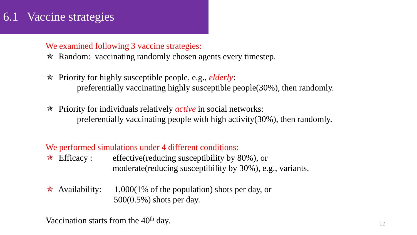### 6.1 Vaccine strategies

#### We examined following 3 vaccine strategies:

- **★ Random: vaccinating randomly chosen agents every timestep.**
- ✯ Priority for highly susceptible people, e.g., *elderly*: preferentially vaccinating highly susceptible people(30%), then randomly.
- ✯ Priority for individuals relatively *active* in social networks: preferentially vaccinating people with high activity(30%), then randomly.

#### We performed simulations under 4 different conditions:

- $\star$  Efficacy : effective(reducing susceptibility by 80%), or moderate(reducing susceptibility by 30%), e.g., variants.
- $\star$  Availability: 1,000(1% of the population) shots per day, or 500(0.5%) shots per day.

Vaccination starts from the 40<sup>th</sup> day.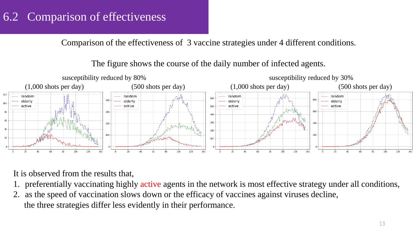# 6.2 Comparison of effectiveness

Comparison of the effectiveness of 3 vaccine strategies under 4 different conditions.

The figure shows the course of the daily number of infected agents.



It is observed from the results that,

- 1. preferentially vaccinating highly active agents in the network is most effective strategy under all conditions,
- 2. as the speed of vaccination slows down or the efficacy of vaccines against viruses decline, the three strategies differ less evidently in their performance.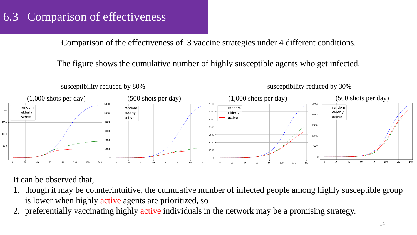# 6.3 Comparison of effectiveness

Comparison of the effectiveness of 3 vaccine strategies under 4 different conditions.

The figure shows the cumulative number of highly susceptible agents who get infected.



It can be observed that,

- 1. though it may be counterintuitive, the cumulative number of infected people among highly susceptible group is lower when highly active agents are prioritized, so
- preferentially vaccinating highly active individuals in the network may be a promising strategy.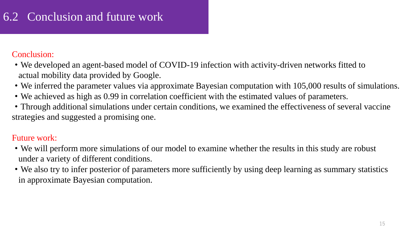# 6.2 Conclusion and future work

#### Conclusion:

- We developed an agent-based model of COVID-19 infection with activity-driven networks fitted to actual mobility data provided by Google.
- ・We inferred the parameter values via approximate Bayesian computation with 105,000 results of simulations.
- ・We achieved as high as 0.99 in correlation coefficient with the estimated values of parameters.
- ・Through additional simulations under certain conditions, we examined the effectiveness of several vaccine strategies and suggested a promising one.

### Future work:

- ・We will perform more simulations of our model to examine whether the results in this study are robust under a variety of different conditions.
- ・We also try to infer posterior of parameters more sufficiently by using deep learning as summary statistics in approximate Bayesian computation.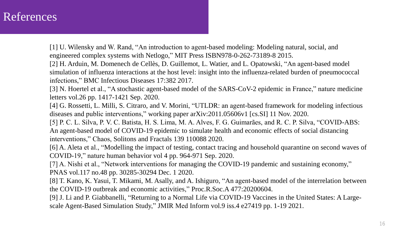### References

[1] U. Wilensky and W. Rand, "An introduction to agent-based modeling: Modeling natural, social, and engineered complex systems with Netlogo," MIT Press ISBN978-0-262-73189-8 2015.

[2] H. Arduin, M. Domenech de Cellès, D. Guillemot, L. Watier, and L. Opatowski, "An agent-based model simulation of influenza interactions at the host level: insight into the influenza-related burden of pneumococcal infections," BMC Infectious Diseases 17:382 2017.

[3] N. Hoertel et al., "A stochastic agent-based model of the SARS-CoV-2 epidemic in France," nature medicine letters vol.26 pp. 1417-1421 Sep. 2020.

[4] G. Rossetti, L. Milli, S. Citraro, and V. Morini, "UTLDR: an agent-based framework for modeling infectious diseases and public interventions," working paper arXiv:2011.05606v1 [cs.SI] 11 Nov. 2020.

[5] P. C. L. Silva, P. V. C. Batista, H. S. Lima, M. A. Alves, F. G. Guimarães, and R. C. P. Silva, "COVID-ABS: An agent-based model of COVID-19 epidemic to simulate health and economic effects of social distancing interventions," Chaos, Solitons and Fractals 139 110088 2020.

[6] A. Aleta et al., "Modelling the impact of testing, contact tracing and household quarantine on second waves of COVID-19," nature human behavior vol 4 pp. 964-971 Sep. 2020.

[7] A. Nishi et al., "Network interventions for managing the COVID-19 pandemic and sustaining economy," PNAS vol.117 no.48 pp. 30285-30294 Dec. 1 2020.

[8] T. Kano, K. Yasui, T. Mikami, M. Asally, and A. Ishiguro, "An agent-based model of the interrelation between the COVID-19 outbreak and economic activities," Proc.R.Soc.A 477:20200604.

[9] J. Li and P. Giabbanelli, "Returning to a Normal Life via COVID-19 Vaccines in the United States: A Largescale Agent-Based Simulation Study," JMIR Med Inform vol.9 iss.4 e27419 pp. 1-19 2021.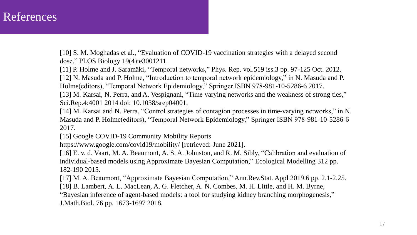### References

[10] S. M. Moghadas et al., "Evaluation of COVID-19 vaccination strategies with a delayed second dose," PLOS Biology 19(4):e3001211.

[11] P. Holme and J. Saramäki, "Temporal networks," Phys. Rep. vol.519 iss.3 pp. 97-125 Oct. 2012.

[12] N. Masuda and P. Holme, "Introduction to temporal network epidemiology," in N. Masuda and P. Holme(editors), "Temporal Network Epidemiology," Springer ISBN 978-981-10-5286-6 2017.

[13] M. Karsai, N. Perra, and A. Vespignani, "Time varying networks and the weakness of strong ties," Sci.Rep.4:4001 2014 doi: 10.1038/srep04001.

[14] M. Karsai and N. Perra, "Control strategies of contagion processes in time-varying networks," in N. Masuda and P. Holme(editors), "Temporal Network Epidemiology," Springer ISBN 978-981-10-5286-6 2017.

[15] Google COVID-19 Community Mobility Reports

https://www.google.com/covid19/mobility/ [retrieved: June 2021].

[16] E. v. d. Vaart, M. A. Beaumont, A. S. A. Johnston, and R. M. Sibly, "Calibration and evaluation of individual-based models using Approximate Bayesian Computation," Ecological Modelling 312 pp. 182-190 2015.

[17] M. A. Beaumont, "Approximate Bayesian Computation," Ann.Rev.Stat. Appl 2019.6 pp. 2.1-2.25.

[18] B. Lambert, A. L. MacLean, A. G. Fletcher, A. N. Combes, M. H. Little, and H. M. Byrne,

"Bayesian inference of agent-based models: a tool for studying kidney branching morphogenesis," J.Math.Biol. 76 pp. 1673-1697 2018.